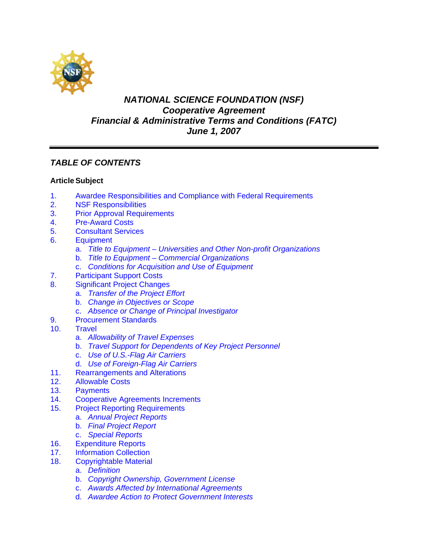

# *NATIONAL SCIENCE FOUNDATION (NSF) Cooperative Agreement Financial & Administrative Terms and Conditions (FATC) June 1, 2007*

# *TABLE OF CONTENTS*

## **Article Subject**

- [1. Awardee Responsibilities and Compliance with Federal Requirements](#page-2-0)
- [2. NSF Responsibilities](#page-3-0)
- [3. Prior Approval Requirements](#page-3-0)
- [4. Pre-Award Costs](#page-4-0)
- [5. Consultant Services](#page-4-0)
- [6. Equipment](#page-4-0) 
	- a. *[Title to Equipment Universities and Other Non-profit Organizations](#page-4-0)*
	- b. *[Title to Equipment Commercial Organizations](#page-5-0)*
	- c. *[Conditions for Acquisition and Use of Equipment](#page-5-0)*
- [7. Participant Support Costs](#page-6-0)
- [8. Significant Project Changes](#page-6-0)
	- a. *[Transfer of the Project Effort](#page-7-0)*
	- b. *[Change in Objectives or Scope](#page-7-0)*
	- c. *[Absence or Change of Principal Investigator](#page-7-0)*
- [9. Procurement Standards](#page-8-0)
- $10<sub>1</sub>$ **Travel** 
	- a. *[Allowability of Travel Expenses](#page-8-0)*
	- b. *[Travel Support for Dependents of Key Project Personnel](#page-8-0)*
	- c. *[Use of U.S.-Flag Air Carriers](#page-8-0)*
	- d. *[Use of Foreign-Flag Air Carriers](#page-9-0)*
- [11. Rearrangements and Alterations](#page-10-0)
- [12. Allowable Costs](#page-10-0)
- [13. Payments](#page-11-0)
- [14. Cooperative Agreements Increments](#page-11-0)
- [15. Project Reporting Requirements](#page-11-0) 
	- a. *[Annual Project Reports](#page-11-0)*
	- b. *[Final Project Report](#page-12-0)*
	- c. *[Special Reports](#page-12-0)*
- [16. Expenditure Reports](#page-12-0)
- [17. Information Collection](#page-12-0)
- [18. Copyrightable Material](#page-13-0)
	- a. *[Definition](#page-13-0)*
	- b. *[Copyright Ownership, Government License](#page-13-0)*
	- c. *[Awards Affected by International Agreements](#page-13-0)*
	- d. *[Awardee Action to Protect Government Interests](#page-13-0)*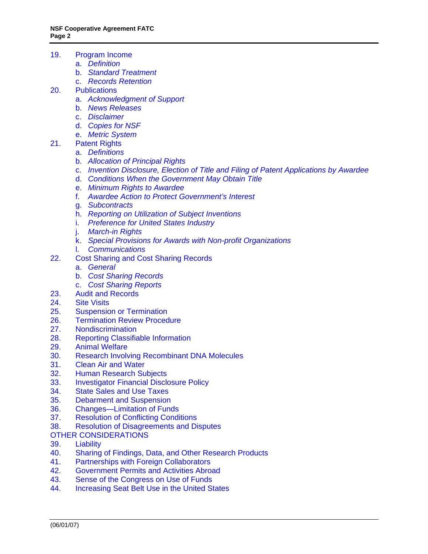- [19. Program Income](#page-13-0)
	- a. *[Definition](#page-13-0)*
	- b. *[Standard Treatment](#page-14-0)*
	- c. *[Records Retention](#page-14-0)*
- [20. Publications](#page-14-0)
	- a. *[Acknowledgment of Support](#page-14-0)*
	- b. *[News Releases](#page-14-0)*
	- c. *[Disclaimer](#page-14-0)*
	- d. *[Copies for NSF](#page-14-0)*
	- e. *[Metric System](#page-15-0)*
- [21. Patent Rights](#page-15-0)
	- a. *[Definitions](#page-15-0)*
	- b. *[Allocation of Principal Rights](#page-15-0)*
	- c. *[Invention Disclosure, Election of Title and Filing of Patent Applications by Awardee](#page-16-0)*
	- d. *[Conditions When the Government May Obtain Title](#page-16-0)*
	- e. *[Minimum Rights to Awardee](#page-17-0)*
	- f. *[Awardee Action to Protect Government's Interest](#page-17-0)*
	- g. *[Subcontracts](#page-18-0)*
	- h. *[Reporting on Utilization of Subject Inventions](#page-18-0)*
	- i. *[Preference for United States Industry](#page-19-0)*
	- j. *[March-in Rights](#page-19-0)*
	- k. *[Special Provisions for Awards with Non-profit Organizations](#page-19-0)*
	- l. *[Communications](#page-20-0)*
- [22. Cost Sharing and Cost Sharing Records](#page-20-0) 
	- a. *[General](#page-20-0)*
	- b. *[Cost Sharing Records](#page-21-0)*
	- c. *[Cost Sharing Reports](#page-21-0)*
- [23. Audit and Records](#page-21-0)
- [24. Site Visits](#page-22-0)
- [25. Suspension or Termination](#page-22-0)
- [26. Termination Review Procedure](#page-23-0)
- [27. Nondiscrimination](#page-23-0)
- [28. Reporting Classifiable Information](#page-24-0)<br>29. Animal Welfare
- **Animal Welfare**
- [30. Research Involving Recombinant DNA Molecules](#page-24-0)
- [31. Clean Air and Water](#page-25-0)
- [32. Human Research Subjects](#page-25-0)
- [33. Investigator Financial Disclosure Policy](#page-25-0)
- [34. State Sales and Use Taxes](#page-25-0)
- [35. Debarment and Suspension](#page-25-0)
- [36. Changes—Limitation of Funds](#page-26-0)
- [37. Resolution of Conflicting Conditions](#page-26-0)
- [38. Resolution of Disagreements and Disputes](#page-26-0)
- [OTHER CONSIDERATIONS](#page-26-0)
- 39. Liability
- [40. Sharing of Findings, Data, and Other Research Products](#page-26-0)
- [41. Partnerships with Foreign Collaborators](#page-27-0)
- [42. Government Permits and Activities Abroad](#page-27-0)
- [43. Sense of the Congress on Use of Funds](#page-27-0)
- [44. Increasing Seat Belt Use in the United States](#page-27-0)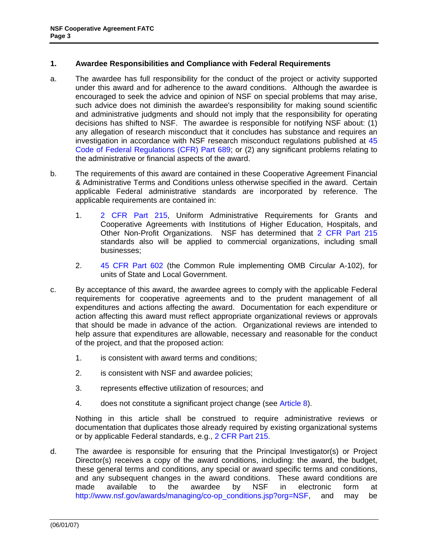### <span id="page-2-0"></span>**1. Awardee Responsibilities and Compliance with Federal Requirements**

- a. The awardee has full responsibility for the conduct of the project or activity supported under this award and for adherence to the award conditions. Although the awardee is encouraged to seek the advice and opinion of NSF on special problems that may arise, such advice does not diminish the awardee's responsibility for making sound scientific and administrative judgments and should not imply that the responsibility for operating decisions has shifted to NSF. The awardee is responsible for notifying NSF about: (1) any allegation of research misconduct that it concludes has substance and requires an investigation in accordance with NSF research misconduct regulations published at [45](http://www.access.gpo.gov/nara/cfr/waisidx_06/45cfr689_06.html)  [Code of Federal Regulations \(CFR\) Part 689](http://www.access.gpo.gov/nara/cfr/waisidx_06/45cfr689_06.html); or (2) any significant problems relating to the administrative or financial aspects of the award.
- b. The requirements of this award are contained in these Cooperative Agreement Financial & Administrative Terms and Conditions unless otherwise specified in the award. Certain applicable Federal administrative standards are incorporated by reference. The applicable requirements are contained in:
	- 1. [2 CFR Part 215,](http://www.access.gpo.gov/nara/cfr/waisidx_07/2cfr215_07.html) Uniform Administrative Requirements for Grants and Cooperative Agreements with Institutions of Higher Education, Hospitals, and Other Non-Profit Organizations. NSF has determined that [2 CFR Part 215](http://www.access.gpo.gov/nara/cfr/waisidx_07/2cfr215_07.html) standards also will be applied to commercial organizations, including small businesses;
	- 2. [45 CFR Part 602](http://www.access.gpo.gov/nara/cfr/waisidx_06/45cfr602_06.html) (the Common Rule implementing OMB Circular A-102), for units of State and Local Government.
- c. By acceptance of this award, the awardee agrees to comply with the applicable Federal requirements for cooperative agreements and to the prudent management of all expenditures and actions affecting the award. Documentation for each expenditure or action affecting this award must reflect appropriate organizational reviews or approvals that should be made in advance of the action. Organizational reviews are intended to help assure that expenditures are allowable, necessary and reasonable for the conduct of the project, and that the proposed action:
	- 1. is consistent with award terms and conditions;
	- 2. is consistent with NSF and awardee policies;
	- 3. represents effective utilization of resources; and
	- 4. does not constitute a significant project change (see [Article 8\)](#page-6-0).

Nothing in this article shall be construed to require administrative reviews or documentation that duplicates those already required by existing organizational systems or by applicable Federal standards, e.g., [2 CFR Part 215.](http://www.access.gpo.gov/nara/cfr/waisidx_07/2cfr215_07.html)

d. The awardee is responsible for ensuring that the Principal Investigator(s) or Project Director(s) receives a copy of the award conditions, including: the award, the budget, these general terms and conditions, any special or award specific terms and conditions, and any subsequent changes in the award conditions. These award conditions are made available to the awardee by NSF in electronic form at [http://www.nsf.gov/awards/managing/co-op\\_conditions.jsp?org=NSF](http://www.nsf.gov/awards/managing/co-op_conditions.jsp?org=NSF), and may be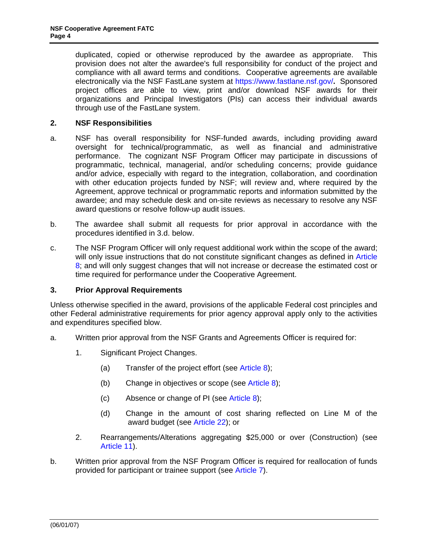<span id="page-3-0"></span> duplicated, copied or otherwise reproduced by the awardee as appropriate. This provision does not alter the awardee's full responsibility for conduct of the project and compliance with all award terms and conditions. Cooperative agreements are available electronically via the NSF FastLane system at <https://www.fastlane.nsf.gov/>**.** Sponsored project offices are able to view, print and/or download NSF awards for their organizations and Principal Investigators (PIs) can access their individual awards through use of the FastLane system.

## **2. NSF Responsibilities**

- a. NSF has overall responsibility for NSF-funded awards, including providing award oversight for technical/programmatic, as well as financial and administrative performance. The cognizant NSF Program Officer may participate in discussions of programmatic, technical, managerial, and/or scheduling concerns; provide guidance and/or advice, especially with regard to the integration, collaboration, and coordination with other education projects funded by NSF; will review and, where required by the Agreement, approve technical or programmatic reports and information submitted by the awardee; and may schedule desk and on-site reviews as necessary to resolve any NSF award questions or resolve follow-up audit issues.
- b. The awardee shall submit all requests for prior approval in accordance with the procedures identified in 3.d. below.
- c. The NSF Program Officer will only request additional work within the scope of the award; will only issue instructions that do not constitute significant changes as defined in Article [8](#page-6-0); and will only suggest changes that will not increase or decrease the estimated cost or time required for performance under the Cooperative Agreement.

#### **3. Prior Approval Requirements**

Unless otherwise specified in the award, provisions of the applicable Federal cost principles and other Federal administrative requirements for prior agency approval apply only to the activities and expenditures specified blow.

- a. Written prior approval from the NSF Grants and Agreements Officer is required for:
	- 1. Significant Project Changes.
		- (a) Transfer of the project effort (see [Article 8\)](#page-6-0);
		- (b) Change in objectives or scope (see [Article 8\)](#page-6-0);
		- (c) Absence or change of PI (see [Article 8\)](#page-6-0);
		- (d) Change in the amount of cost sharing reflected on Line M of the award budget (see Article 22); [or](#page-20-0)
	- **Article 11).** 2. Rearrangements/Alterations aggregating \$25,000 or over (Construction) (see
- b. Written prior approval from the NSF Program Officer is required for reallocation of funds provided for participant or trainee support (see [Article 7](#page-6-0)).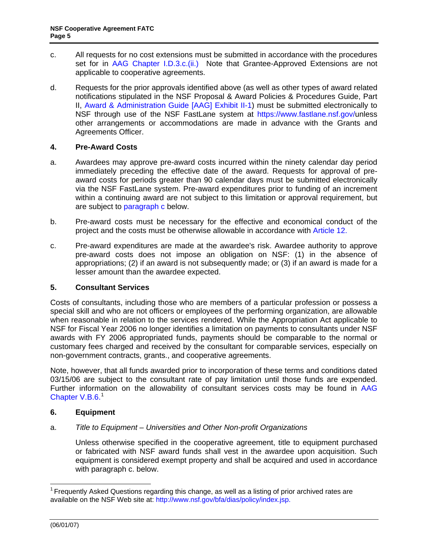- <span id="page-4-0"></span>c. All requests for no cost extensions must be submitted in accordance with the procedures set for in [AAG Chapter I.D.3.c.\(ii.\)](http://www.nsf.gov/pubs/policydocs/papp/aag07140.pdf) Note that Grantee-Approved Extensions are not applicable to cooperative agreements.
- d. Requests for the prior approvals identified above (as well as other types of award related notifications stipulated in the NSF Proposal & Award Policies & Procedures Guide, Part II, [Award & Administration Guide \[AAG\] Exhibit II-1](http://www.nsf.gov/pubs/policydocs/papp/aag07140.pdf)) must be submitted electronically to NSF through use of the NSF FastLane system at <https://www.fastlane.nsf.gov/>unless other arrangements or accommodations are made in advance with the Grants and Agreements Officer.

## **4. Pre-Award Costs**

- a. Awardees may approve pre-award costs incurred within the ninety calendar day period immediately preceding the effective date of the award. Requests for approval of preaward costs for periods greater than 90 calendar days must be submitted electronically via the NSF FastLane system. Pre-award expenditures prior to funding of an increment within a continuing award are not subject to this limitation or approval requirement, but are subject to [paragraph c](#page-4-0) below.
- b. Pre-award costs must be necessary for the effective and economical conduct of the project and the costs must be otherwise allowable in accordance with [Article 12.](#page-10-0)
- c. Pre-award expenditures are made at the awardee's risk. Awardee authority to approve pre-award costs does not impose an obligation on NSF: (1) in the absence of appropriations; (2) if an award is not subsequently made; or (3) if an award is made for a lesser amount than the awardee expected.

## **5. Consultant Services**

Costs of consultants, including those who are members of a particular profession or possess a special skill and who are not officers or employees of the performing organization, are allowable when reasonable in relation to the services rendered. While the Appropriation Act applicable to NSF for Fiscal Year 2006 no longer identifies a limitation on payments to consultants under NSF awards with FY 2006 appropriated funds, payments should be comparable to the normal or customary fees charged and received by the consultant for comparable services, especially on non-government contracts, grants., and cooperative agreements.

Note, however, that all funds awarded prior to incorporation of these terms and conditions dated 03/15/06 are subject to the consultant rate of pay limitation until those funds are expended. Further information on the allowability of consultant services costs may be found in [AAG](http://www.nsf.gov/pubs/policydocs/papp/aag07140.pdf)  [Chapter V.B.6](http://www.nsf.gov/pubs/policydocs/papp/aag07140.pdf).<sup>1</sup>

## **6. Equipment**

## a. *Title to Equipment – Universities and Other Non-profit Organizations*

Unless otherwise specified in the cooperative agreement, title to equipment purchased or fabricated with NSF award funds shall vest in the awardee upon acquisition. Such equipment is considered exempt property and shall be acquired and used in accordance with paragraph c. below.

<span id="page-4-1"></span><sup>&</sup>lt;sup>1</sup> Frequently Asked Questions regarding this change, as well as a listing of prior archived rates are available on the NSF Web site at: http://www.nsf.gov/bfa/dias/policy/index.jsp.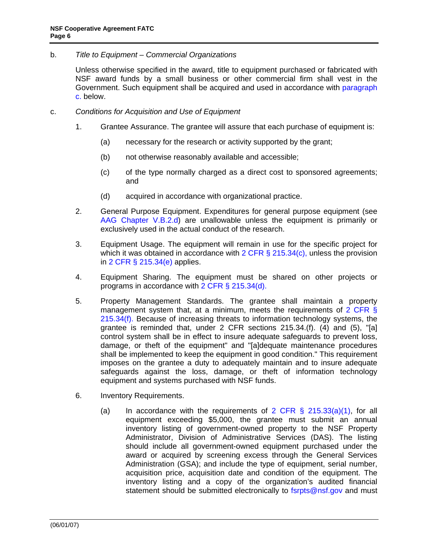<span id="page-5-0"></span>b. *Title to Equipment – Commercial Organizations* 

 Unless otherwise specified in the award, title to equipment purchased or fabricated with NSF award funds by a small business or other commercial firm shall vest in the Government. Such equipment shall be acquired and used in accordance with [paragraph](#page-5-0)  [c.](#page-5-0) below.

- c. *Conditions for Acquisition and Use of Equipment* 
	- 1. Grantee Assurance. The grantee will assure that each purchase of equipment is:
		- (a) necessary for the research or activity supported by the grant;
		- (b) not otherwise reasonably available and accessible;
		- (c) of the type normally charged as a direct cost to sponsored agreements; and
		- (d) acquired in accordance with organizational practice.
	- 2. General Purpose Equipment. Expenditures for general purpose equipment (see [AAG Chapter V.B.2.d\)](http://www.nsf.gov/pubs/policydocs/papp/aag07140.pdf) are unallowable unless the equipment is primarily or exclusively used in the actual conduct of the research.
	- 3. Equipment Usage. The equipment will remain in use for the specific project for which it was obtained in accordance with  $2$  CFR § 215.34(c), unless the provision in [2 CFR § 215.34\(e\)](http://a257.g.akamaitech.net/7/257/2422/15mar20071500/edocket.access.gpo.gov/cfr_2007/janqtr/pdf/2cfr215.34.pdf) applies.
	- 4. Equipment Sharing. The equipment must be shared on other projects or programs in accordance with [2 CFR § 215.34\(d\).](http://a257.g.akamaitech.net/7/257/2422/15mar20071500/edocket.access.gpo.gov/cfr_2007/janqtr/pdf/2cfr215.34.pdf)
	- 5. Property Management Standards. The grantee shall maintain a property management system that, at a minimum, meets the requirements of [2 CFR §](http://a257.g.akamaitech.net/7/257/2422/15mar20071500/edocket.access.gpo.gov/cfr_2007/janqtr/pdf/2cfr215.34.pdf)  [215.34\(f\)](http://a257.g.akamaitech.net/7/257/2422/15mar20071500/edocket.access.gpo.gov/cfr_2007/janqtr/pdf/2cfr215.34.pdf). Because of increasing threats to information technology systems, the grantee is reminded that, under 2 CFR sections 215.34.(f). (4) and (5), "[a] control system shall be in effect to insure adequate safeguards to prevent loss, damage, or theft of the equipment" and "[a]dequate maintenance procedures shall be implemented to keep the equipment in good condition." This requirement imposes on the grantee a duty to adequately maintain and to insure adequate safeguards against the loss, damage, or theft of information technology equipment and systems purchased with NSF funds.
	- 6. Inventory Requirements.
		- (a) In accordance with the requirements of 2 CFR  $\S$  215.33(a)(1), for all equipment exceeding \$5,000, the grantee must submit an annual inventory listing of government-owned property to the NSF Property Administrator, Division of Administrative Services (DAS). The listing should include all government-owned equipment purchased under the award or acquired by screening excess through the General Services Administration (GSA); and include the type of equipment, serial number, acquisition price, acquisition date and condition of the equipment. The inventory listing and a copy of the organization's audited financial statement should be submitted electronically to [fsrpts@nsf.gov](mailto:fsrpts@nsf.gov) and must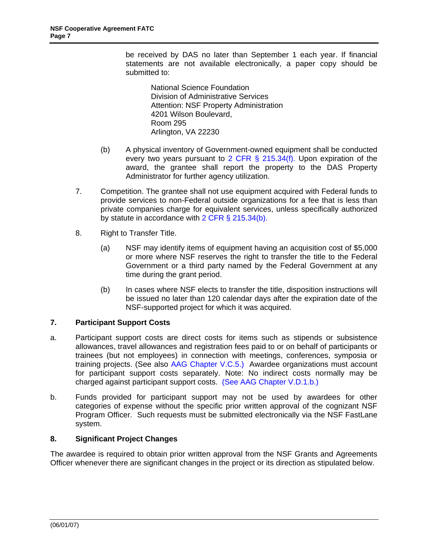<span id="page-6-0"></span>be received by DAS no later than September 1 each year. If financial statements are not available electronically, a paper copy should be submitted to:

National Science Foundation Division of Administrative Services Attention: NSF Property Administration 4201 Wilson Boulevard, Room 295 Arlington, VA 22230

- (b) A physical inventory of Government-owned equipment shall be conducted every two years pursuant to [2 CFR § 215.34\(f\).](http://a257.g.akamaitech.net/7/257/2422/15mar20071500/edocket.access.gpo.gov/cfr_2007/janqtr/pdf/2cfr215.34.pdf) Upon expiration of the award, the grantee shall report the property to the DAS Property Administrator for further agency utilization.
- 7. Competition. The grantee shall not use equipment acquired with Federal funds to provide services to non-Federal outside organizations for a fee that is less than private companies charge for equivalent services, unless specifically authorized by statute in accordance with [2 CFR § 215.34\(b\)](http://a257.g.akamaitech.net/7/257/2422/15mar20071500/edocket.access.gpo.gov/cfr_2007/janqtr/pdf/2cfr215.34.pdf).
- 8. Right to Transfer Title.
	- (a) NSF may identify items of equipment having an acquisition cost of \$5,000 or more where NSF reserves the right to transfer the title to the Federal Government or a third party named by the Federal Government at any time during the grant period.
	- (b) In cases where NSF elects to transfer the title, disposition instructions will be issued no later than 120 calendar days after the expiration date of the NSF-supported project for which it was acquired.

## **7. Participant Support Costs**

- a. Participant support costs are direct costs for items such as stipends or subsistence allowances, travel allowances and registration fees paid to or on behalf of participants or trainees (but not employees) in connection with meetings, conferences, symposia or training projects. (See also [AAG Chapter V.C.5](http://www.nsf.gov/pubs/policydocs/papp/aag07140.pdf).) Awardee organizations must account for participant support costs separately. Note: No indirect costs normally may be charged against participant support costs. (See [AAG Chapter V.D.1.b](http://a257.g.akamaitech.net/7/257/2422/15mar20071500/edocket.access.gpo.gov/cfr_2007/janqtr/pdf/2cfr215.34.pdf).)
- b. Funds provided for participant support may not be used by awardees for other categories of expense without the specific prior written approval of the cognizant NSF Program Officer. Such requests must be submitted electronically via the NSF FastLane system.

## **8. Significant Project Changes**

The awardee is required to obtain prior written approval from the NSF Grants and Agreements Officer whenever there are significant changes in the project or its direction as stipulated below.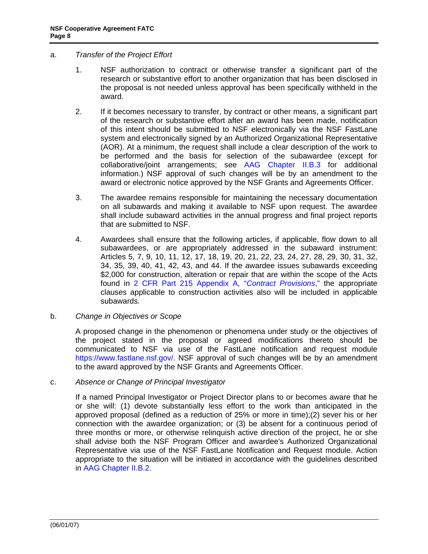### <span id="page-7-0"></span>a. *Transfer of the Project Effort*

- 1. NSF authorization to contract or otherwise transfer a significant part of the research or substantive effort to another organization that has been disclosed in the proposal is not needed unless approval has been specifically withheld in the award.
- 2. If it becomes necessary to transfer, by contract or other means, a significant part of the research or substantive effort after an award has been made, notification of this intent should be submitted to NSF electronically via the NSF FastLane system and electronically signed by an Authorized Organizational Representative (AOR). At a minimum, the request shall include a clear description of the work to be performed and the basis for selection of the subawardee (except for collaborative/joint arrangements; see [AAG Chapter II.B.3](http://www.nsf.gov/pubs/policydocs/papp/aag07140.pdf) for additional information.) NSF approval of such changes will be by an amendment to the award or electronic notice approved by the NSF Grants and Agreements Officer.
- 3. The awardee remains responsible for maintaining the necessary documentation on all subawards and making it available to NSF upon request. The awardee shall include subaward activities in the annual progress and final project reports that are submitted to NSF.
- 4. Awardees shall ensure that the following articles, if applicable, flow down to all subawardees, or are appropriately addressed in the subaward instrument: Articles 5, 7, 9, 10, 11, 12, 17, 18, 19, 20, 21, 22, 23, 24, 27, 28, 29, 30, 31, 32, 34, 35, 39, 40, 41, 42, 43, and 44. If the awardee issues subawards exceeding \$2,000 for construction, alteration or repair that are within the scope of the Acts found in [2 CFR Part 215 Appendix A, "](http://www.whitehouse.gov/omb/fedreg/2004/040511_grants.pdf)*Contract Provisions*," the appropriate clauses applicable to construction activities also will be included in applicable subawards.

#### b. *Change in Objectives or Scope*

A proposed change in the phenomenon or phenomena under study or the objectives of the project stated in the proposal or agreed modifications thereto should be communicated to NSF via use of the FastLane notification and request module [https://www.fastlane.nsf.gov/.](https://www.fastlane.nsf.gov/) NSF approval of such changes will be by an amendment to the award approved by the NSF Grants and Agreements Officer.

#### c. *Absence or Change of Principal Investigator*

If a named Principal Investigator or Project Director plans to or becomes aware that he or she will: (1) devote substantially less effort to the work than anticipated in the approved proposal (defined as a reduction of 25% or more in time);(2) sever his or her connection with the awardee organization; or (3) be absent for a continuous period of three months or more, or otherwise relinquish active direction of the project, he or she shall advise both the NSF Program Officer and awardee's Authorized Organizational Representative via use of the NSF FastLane Notification and Request module. Action appropriate to the situation will be initiated in accordance with the guidelines described in [AAG Chapter II.B.2.](http://www.nsf.gov/pubs/policydocs/papp/aag07140.pdf)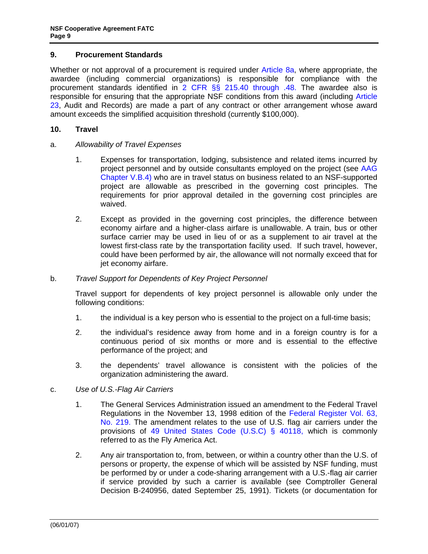#### <span id="page-8-0"></span>**9. Procurement Standards**

Whether or not approval of a procurement is required under [Article 8a](#page-7-0), where appropriate, the awardee (including commercial organizations) is responsible for compliance with the procurement standards identified in [2 CFR §§ 215.40 through .48](http://www.access.gpo.gov/nara/cfr/waisidx_07/2cfr215_07.html). The awardee also is responsible for ensuring that the appropriate NSF conditions from this award (including [Article](#page-21-0)  [23](#page-21-0), Audit and Records) are made a part of any contract or other arrangement whose award amount exceeds the simplified acquisition threshold (currently \$100,000).

#### **10. Travel**

- a. *Allowability of Travel Expenses* 
	- 1. Expenses for transportation, lodging, subsistence and related items incurred by project personnel and by outside consultants employed on the project (see [AAG](http://www.nsf.gov/pubs/policydocs/papp/aag07140.pdf)  [Chapter V.B.4](http://www.nsf.gov/pubs/policydocs/papp/aag07140.pdf)) who are in travel status on business related to an NSF-supported project are allowable as prescribed in the governing cost principles. The requirements for prior approval detailed in the governing cost principles are waived.
	- 2. Except as provided in the governing cost principles, the difference between economy airfare and a higher-class airfare is unallowable. A train, bus or other surface carrier may be used in lieu of or as a supplement to air travel at the lowest first-class rate by the transportation facility used. If such travel, however, could have been performed by air, the allowance will not normally exceed that for jet economy airfare.

#### b. *Travel Support for Dependents of Key Project Personnel*

Travel support for dependents of key project personnel is allowable only under the following conditions:

- 1. the individual is a key person who is essential to the project on a full-time basis;
- 2. the individual's residence away from home and in a foreign country is for a continuous period of six months or more and is essential to the effective performance of the project; and
- 3. the dependents' travel allowance is consistent with the policies of the organization administering the award.
- c. *Use of U.S.-Flag Air Carriers* 
	- 1. The General Services Administration issued an amendment to the Federal Travel Regulations in the November 13, 1998 edition of the [Federal Register Vol. 63,](http://frwebgate.access.gpo.gov/cgi-bin/getpage.cgi?position=all&page=63417&dbname=1998_register)  [No. 219](http://frwebgate.access.gpo.gov/cgi-bin/getpage.cgi?position=all&page=63417&dbname=1998_register). The amendment relates to the use of U.S. flag air carriers under the provisions of [49 United States Code \(U.S.C\) § 40118,](http://management.energy.gov/documents/Title_49_FlyAmericaAct.pdf) which is commonly referred to as the Fly America Act.
	- 2. Any air transportation to, from, between, or within a country other than the U.S. of persons or property, the expense of which will be assisted by NSF funding, must be performed by or under a code-sharing arrangement with a U.S.-flag air carrier if service provided by such a carrier is available (see Comptroller General Decision B-240956, dated September 25, 1991). Tickets (or documentation for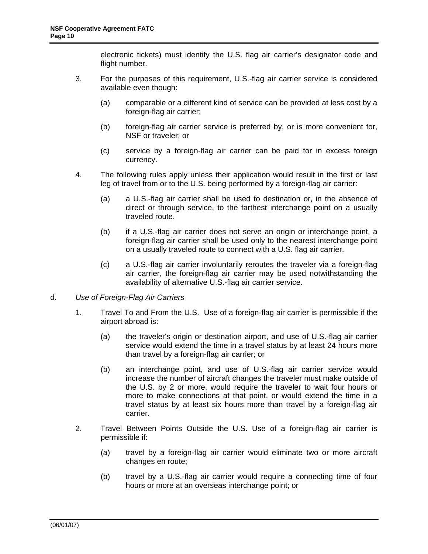electronic tickets) must identify the U.S. flag air carrier's designator code and flight number.

- <span id="page-9-0"></span>3. For the purposes of this requirement, U.S.-flag air carrier service is considered available even though:
	- (a) comparable or a different kind of service can be provided at less cost by a foreign-flag air carrier;
	- (b) foreign-flag air carrier service is preferred by, or is more convenient for, NSF or traveler; or
	- (c) service by a foreign-flag air carrier can be paid for in excess foreign currency.
- 4. The following rules apply unless their application would result in the first or last leg of travel from or to the U.S. being performed by a foreign-flag air carrier:
	- (a) a U.S.-flag air carrier shall be used to destination or, in the absence of direct or through service, to the farthest interchange point on a usually traveled route.
	- (b) if a U.S.-flag air carrier does not serve an origin or interchange point, a foreign-flag air carrier shall be used only to the nearest interchange point on a usually traveled route to connect with a U.S. flag air carrier.
	- (c) a U.S.-flag air carrier involuntarily reroutes the traveler via a foreign-flag air carrier, the foreign-flag air carrier may be used notwithstanding the availability of alternative U.S.-flag air carrier service.
- d. *Use of Foreign-Flag Air Carriers* 
	- 1. Travel To and From the U.S. Use of a foreign-flag air carrier is permissible if the airport abroad is:
		- (a) the traveler's origin or destination airport, and use of U.S.-flag air carrier service would extend the time in a travel status by at least 24 hours more than travel by a foreign-flag air carrier; or
		- (b) an interchange point, and use of U.S.-flag air carrier service would increase the number of aircraft changes the traveler must make outside of the U.S. by 2 or more, would require the traveler to wait four hours or more to make connections at that point, or would extend the time in a travel status by at least six hours more than travel by a foreign-flag air carrier.
	- 2. Travel Between Points Outside the U.S. Use of a foreign-flag air carrier is permissible if:
		- (a) travel by a foreign-flag air carrier would eliminate two or more aircraft changes en route;
		- (b) travel by a U.S.-flag air carrier would require a connecting time of four hours or more at an overseas interchange point; or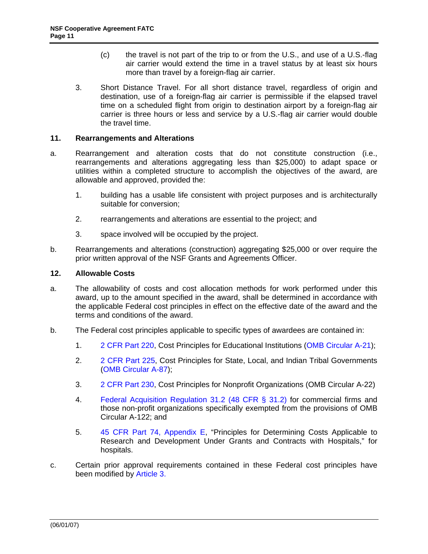- (c) the travel is not part of the trip to or from the U.S., and use of a U.S.-flag air carrier would extend the time in a travel status by at least six hours more than travel by a foreign-flag air carrier.
- <span id="page-10-0"></span>3. Short Distance Travel. For all short distance travel, regardless of origin and destination, use of a foreign-flag air carrier is permissible if the elapsed travel time on a scheduled flight from origin to destination airport by a foreign-flag air carrier is three hours or less and service by a U.S.-flag air carrier would double the travel time.

### **11. Rearrangements and Alterations**

- a. Rearrangement and alteration costs that do not constitute construction (i.e., rearrangements and alterations aggregating less than \$25,000) to adapt space or utilities within a completed structure to accomplish the objectives of the award, are allowable and approved, provided the:
	- 1. building has a usable life consistent with project purposes and is architecturally suitable for conversion;
	- 2. rearrangements and alterations are essential to the project; and
	- 3. space involved will be occupied by the project.
- b. Rearrangements and alterations (construction) aggregating \$25,000 or over require the prior written approval of the NSF Grants and Agreements Officer.

### **12. Allowable Costs**

- a. The allowability of costs and cost allocation methods for work performed under this award, up to the amount specified in the award, shall be determined in accordance with the applicable Federal cost principles in effect on the effective date of the award and the terms and conditions of the award.
- b. The Federal cost principles applicable to specific types of awardees are contained in:
	- 1. [2 CFR Part 220](http://www.whitehouse.gov/omb/fedreg/2005/083105_a21.pdf), Cost Principles for Educational Institutions ([OMB Circular A-21\)](http://www.whitehouse.gov/omb/circulars/a021/a021.html);
	- 2. [2 CFR Part 225,](http://thefdp.org/FR_05_16649.pdf) Cost Principles for State, Local, and Indian Tribal Governments ([OMB Circular A-87\)](http://www.whitehouse.gov/omb/circulars/a087/a087-all.html);
	- 3. [2 CFR Part 230](http://www.whitehouse.gov/omb/fedreg/2005/083105_a122.pdf), Cost Principles for Nonprofit Organizations (OMB Circular A-22)
	- 4. [Federal Acquisition Regulation 31.2 \(48 CFR § 31.2\)](http://a257.g.akamaitech.net/7/257/2422/14mar20010800/edocket.access.gpo.gov/cfr_2002/octqtr/pdf/48cfr31.201.pdf) for commercial firms and those non-profit organizations specifically exempted from the provisions of OMB Circular A-122; and
	- 5. [45 CFR Part 74, Appendix E,](http://a257.g.akamaitech.net/7/257/2422/13nov20061500/edocket.access.gpo.gov/cfr_2006/octqtr/pdf/45cfr74.91.pdf) "Principles for Determining Costs Applicable to Research and Development Under Grants and Contracts with Hospitals," for hospitals.
- c. Certain prior approval requirements contained in these Federal cost principles have been modified by **[Article 3.](#page-3-0)**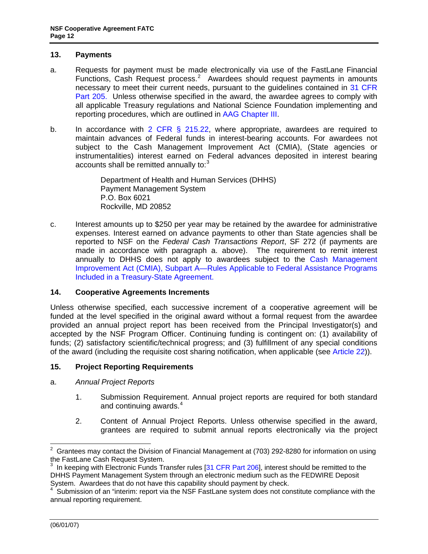### <span id="page-11-0"></span>**13. Payments**

- a. Requests for payment must be made electronically via use of the FastLane Financial Functions, Cash Request process. $2$  Awardees should request payments in amounts necessary to meet their current needs, pursuant to the guidelines contained in [31 CFR](http://www.access.gpo.gov/nara/cfr/waisidx_06/31cfr205_06.html)  [Part 205](http://www.access.gpo.gov/nara/cfr/waisidx_06/31cfr205_06.html). Unless otherwise specified in the award, the awardee agrees to comply with all applicable Treasury regulations and National Science Foundation implementing and reporting procedures, which are outlined in [AAG Chapter III.](http://www.nsf.gov/pubs/policydocs/papp/aag07140.pdf)
- b. In accordance with [2 CFR § 215.22,](http://www.access.gpo.gov/nara/cfr/waisidx_06/31cfr215_06.html) where appropriate, awardees are required to maintain advances of Federal funds in interest-bearing accounts. For awardees not subject to the Cash Management Improvement Act (CMIA), (State agencies or instrumentalities) interest earned on Federal advances deposited in interest bearing accounts shall be remitted annually to: $3<sup>3</sup>$

Department of Health and Human Services (DHHS) Payment Management System P.O. Box 6021 Rockville, MD 20852

c. Interest amounts up to \$250 per year may be retained by the awardee for administrative expenses. Interest earned on advance payments to other than State agencies shall be reported to NSF on the *Federal Cash Transactions Report*, SF 272 (if payments are made in accordance with paragraph a. above). The requirement to remit interest annually to DHHS does not apply to awardees subject to the Cash Management [Improvement Act \(CMIA\), Subpart A—Rules Applicable to Federal Assistance Programs](http://www.access.gpo.gov/nara/cfr/waisidx_05/2cfr215_05.html)  [Included in a Treasury-State Agreement.](http://www.access.gpo.gov/nara/cfr/waisidx_05/2cfr215_05.html)

## **14. Cooperative Agreements Increments**

Unless otherwise specified, each successive increment of a cooperative agreement will be funded at the level specified in the original award without a formal request from the awardee provided an annual project report has been received from the Principal Investigator(s) and accepted by the NSF Program Officer. Continuing funding is contingent on: (1) availability of funds; (2) satisfactory scientific/technical progress; and (3) fulfillment of any special conditions of the award (including the requisite cost sharing notification, when applicable (see [Article 22\)](#page-20-0)).

#### **15. Project Reporting Requirements**

- a. *Annual Project Reports* 
	- 1. Submission Requirement. Annual project reports are required for both standard and continuing awards.<sup>4</sup>
	- 2. Content of Annual Project Reports. Unless otherwise specified in the award, grantees are required to submit annual reports electronically via the project

<span id="page-11-1"></span><sup>2</sup> Grantees may contact the Division of Financial Management at (703) 292-8280 for information on using the FastLane Cash Request System.

<span id="page-11-2"></span><sup>3</sup> In keeping with Electronic Funds Transfer rules [31 CFR Part 206], interest should be remitted to the DHHS Payment Management System through an electronic medium such as the FEDWIRE Deposit System. Awardees that do not have this capability should payment by check.

<span id="page-11-3"></span>Submission of an "interim: report via the NSF FastLane system does not constitute compliance with the annual reporting requirement.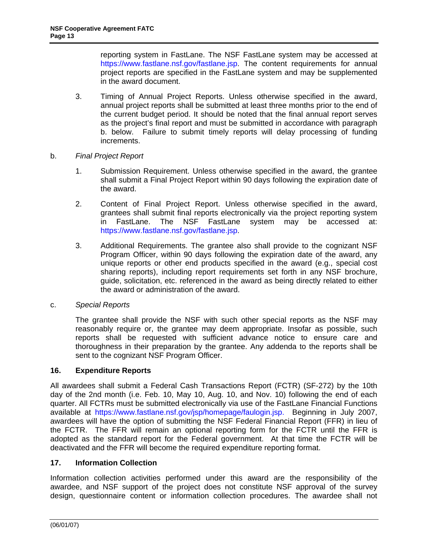<span id="page-12-0"></span>reporting system in FastLane. The NSF FastLane system may be accessed at [https://www.fastlane.nsf.gov/fastlane.jsp.](https://www.fastlane.nsf.gov/fastlane.jsp) The content requirements for annual project reports are specified in the FastLane system and may be supplemented in the award document.

- 3. Timing of Annual Project Reports. Unless otherwise specified in the award, annual project reports shall be submitted at least three months prior to the end of the current budget period. It should be noted that the final annual report serves as the project's final report and must be submitted in accordance with paragraph b. below. Failure to submit timely reports will delay processing of funding increments.
- b. *Final Project Report* 
	- 1. Submission Requirement. Unless otherwise specified in the award, the grantee shall submit a Final Project Report within 90 days following the expiration date of the award.
	- 2. Content of Final Project Report. Unless otherwise specified in the award, grantees shall submit final reports electronically via the project reporting system in FastLane. The NSF FastLane system may be accessed at: [https://www.fastlane.nsf.gov/fastlane.jsp.](https://www.fastlane.nsf.gov/fastlane.jsp)
	- 3. Additional Requirements. The grantee also shall provide to the cognizant NSF Program Officer, within 90 days following the expiration date of the award, any unique reports or other end products specified in the award (e.g., special cost sharing reports), including report requirements set forth in any NSF brochure, guide, solicitation, etc. referenced in the award as being directly related to either the award or administration of the award.
- c. *Special Reports*

The grantee shall provide the NSF with such other special reports as the NSF may reasonably require or, the grantee may deem appropriate. Insofar as possible, such reports shall be requested with sufficient advance notice to ensure care and thoroughness in their preparation by the grantee. Any addenda to the reports shall be sent to the cognizant NSF Program Officer.

## **16. Expenditure Reports**

 deactivated and the FFR will become the required expenditure reporting format. All awardees shall submit a Federal Cash Transactions Report (FCTR) (SF-272) by the 10th day of the 2nd month (i.e. Feb. 10, May 10, Aug. 10, and Nov. 10) following the end of each quarter. All FCTRs must be submitted electronically via use of the FastLane Financial Functions available at [https://www.fastlane.nsf.gov/jsp/homepage/faulogin.jsp.](https://www.fastlane.nsf.gov/jsp/homepage/faulogin.jsp) Beginning in July 2007, awardees will have the option of submitting the NSF Federal Financial Report (FFR) in lieu of the FCTR. The FFR will remain an optional reporting form for the FCTR until the FFR is adopted as the standard report for the Federal government. At that time the FCTR will be

#### **17. Information Collection**

Information collection activities performed under this award are the responsibility of the awardee, and NSF support of the project does not constitute NSF approval of the survey design, questionnaire content or information collection procedures. The awardee shall not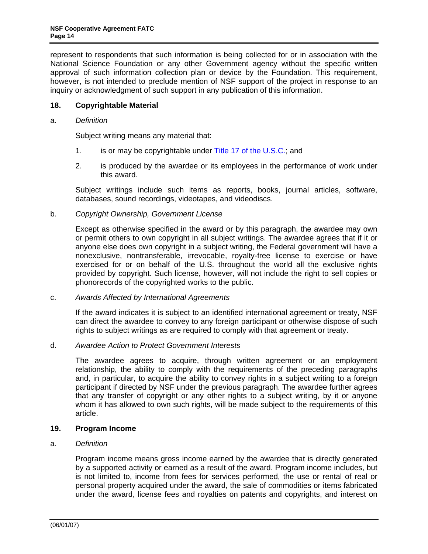<span id="page-13-0"></span>represent to respondents that such information is being collected for or in association with the National Science Foundation or any other Government agency without the specific written approval of such information collection plan or device by the Foundation. This requirement, however, is not intended to preclude mention of NSF support of the project in response to an inquiry or acknowledgment of such support in any publication of this information.

### **18. Copyrightable Material**

### a. *Definition*

Subject writing means any material that:

- 1. is or may be copyrightable under [Title 17 of the U.S.C.](http://www.access.gpo.gov/uscode/title17/title17.html); and
- 2. is produced by the awardee or its employees in the performance of work under this award.

Subject writings include such items as reports, books, journal articles, software, databases, sound recordings, videotapes, and videodiscs.

#### b. *Copyright Ownership, Government License*

Except as otherwise specified in the award or by this paragraph, the awardee may own or permit others to own copyright in all subject writings. The awardee agrees that if it or anyone else does own copyright in a subject writing, the Federal government will have a nonexclusive, nontransferable, irrevocable, royalty-free license to exercise or have exercised for or on behalf of the U.S. throughout the world all the exclusive rights provided by copyright. Such license, however, will not include the right to sell copies or phonorecords of the copyrighted works to the public.

#### c. *Awards Affected by International Agreements*

If the award indicates it is subject to an identified international agreement or treaty, NSF can direct the awardee to convey to any foreign participant or otherwise dispose of such rights to subject writings as are required to comply with that agreement or treaty.

#### d. *Awardee Action to Protect Government Interests*

The awardee agrees to acquire, through written agreement or an employment relationship, the ability to comply with the requirements of the preceding paragraphs and, in particular, to acquire the ability to convey rights in a subject writing to a foreign participant if directed by NSF under the previous paragraph. The awardee further agrees that any transfer of copyright or any other rights to a subject writing, by it or anyone whom it has allowed to own such rights, will be made subject to the requirements of this article.

#### **19. Program Income**

#### a. *Definition*

Program income means gross income earned by the awardee that is directly generated by a supported activity or earned as a result of the award. Program income includes, but is not limited to, income from fees for services performed, the use or rental of real or personal property acquired under the award, the sale of commodities or items fabricated under the award, license fees and royalties on patents and copyrights, and interest on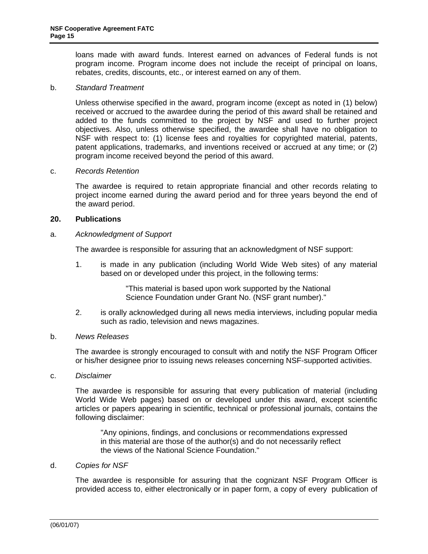<span id="page-14-0"></span>loans made with award funds. Interest earned on advances of Federal funds is not program income. Program income does not include the receipt of principal on loans, rebates, credits, discounts, etc., or interest earned on any of them.

#### b. *Standard Treatment*

Unless otherwise specified in the award, program income (except as noted in (1) below) received or accrued to the awardee during the period of this award shall be retained and added to the funds committed to the project by NSF and used to further project objectives. Also, unless otherwise specified, the awardee shall have no obligation to NSF with respect to: (1) license fees and royalties for copyrighted material, patents, patent applications, trademarks, and inventions received or accrued at any time; or (2) program income received beyond the period of this award.

#### c. *Records Retention*

The awardee is required to retain appropriate financial and other records relating to project income earned during the award period and for three years beyond the end of the award period.

## **20. Publications**

#### a. *Acknowledgment of Support*

The awardee is responsible for assuring that an acknowledgment of NSF support:

1. is made in any publication (including World Wide Web sites) of any material based on or developed under this project, in the following terms:

> "This material is based upon work supported by the National Science Foundation under Grant No. (NSF grant number)."

2. is orally acknowledged during all news media interviews, including popular media such as radio, television and news magazines.

#### b. *News Releases*

The awardee is strongly encouraged to consult with and notify the NSF Program Officer or his/her designee prior to issuing news releases concerning NSF-supported activities.

c. *Disclaimer* 

The awardee is responsible for assuring that every publication of material (including World Wide Web pages) based on or developed under this award, except scientific articles or papers appearing in scientific, technical or professional journals, contains the following disclaimer:

"Any opinions, findings, and conclusions or recommendations expressed in this material are those of the author(s) and do not necessarily reflect the views of the National Science Foundation."

#### d. *Copies for NSF*

The awardee is responsible for assuring that the cognizant NSF Program Officer is provided access to, either electronically or in paper form, a copy of every publication of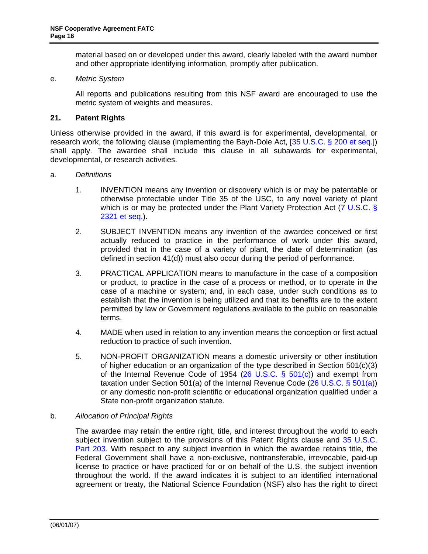material based on or developed under this award, clearly labeled with the award number and other appropriate identifying information, promptly after publication.

#### <span id="page-15-0"></span>e. *Metric System*

All reports and publications resulting from this NSF award are encouraged to use the metric system of weights and measures.

#### **21. Patent Rights**

Unless otherwise provided in the award, if this award is for experimental, developmental, or research work, the following clause (implementing the Bayh-Dole Act, [[35 U.S.C. § 200 et seq](http://uscode.house.gov/download/pls/35T.txt).]) shall apply. The awardee shall include this clause in all subawards for experimental, developmental, or research activities.

#### a. *Definitions*

- 1. INVENTION means any invention or discovery which is or may be patentable or otherwise protectable under Title 35 of the USC, to any novel variety of plant which is or may be protected under the Plant Variety Protection Act ( $\overline{7}$  U.S.C. § [2321 et seq.](http://www.access.gpo.gov/uscode/title7/chapter57_.html)).
- 2. SUBJECT INVENTION means any invention of the awardee conceived or first actually reduced to practice in the performance of work under this award, provided that in the case of a variety of plant, the date of determination (as defined in section 41(d)) must also occur during the period of performance.
- 3. PRACTICAL APPLICATION means to manufacture in the case of a composition or product, to practice in the case of a process or method, or to operate in the case of a machine or system; and, in each case, under such conditions as to establish that the invention is being utilized and that its benefits are to the extent permitted by law or Government regulations available to the public on reasonable terms.
- 4. MADE when used in relation to any invention means the conception or first actual reduction to practice of such invention.
- 5. NON-PROFIT ORGANIZATION means a domestic university or other institution of higher education or an organization of the type described in Section  $501(c)(3)$ of the Internal Revenue Code of 1954 ([26 U.S.C. § 501\(c\)\)](http://frwebgate.access.gpo.gov/cgi-bin/getdoc.cgi?dbname=browse_usc&docid=Cite:+26USC501) and exempt from taxation under Section 501(a) of the Internal Revenue Code  $(26 \text{ U.S.C. } \S 501(a))$ or any domestic non-profit scientific or educational organization qualified under a State non-profit organization statute.

#### b. *Allocation of Principal Rights*

The awardee may retain the entire right, title, and interest throughout the world to each subject invention subject to the provisions of this Patent Rights clause and 35 [U.S.C.](http://frwebgate.access.gpo.gov/cgi-bin/getdoc.cgi?dbname=browse_usc&docid=Cite:+35USC203)  [Part 203](http://frwebgate.access.gpo.gov/cgi-bin/getdoc.cgi?dbname=browse_usc&docid=Cite:+35USC203). With respect to any subject invention in which the awardee retains title, the Federal Government shall have a non-exclusive, nontransferable, irrevocable, paid-up license to practice or have practiced for or on behalf of the U.S. the subject invention throughout the world. If the award indicates it is subject to an identified international agreement or treaty, the National Science Foundation (NSF) also has the right to direct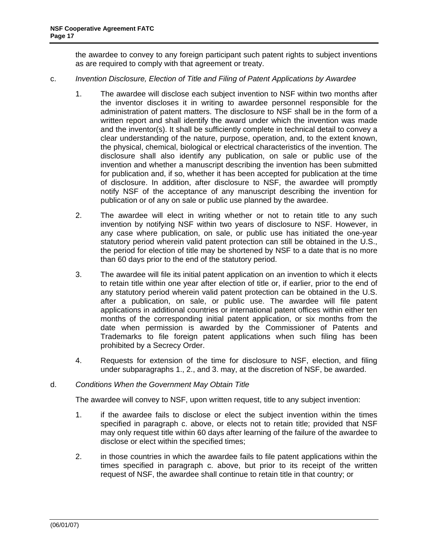the awardee to convey to any foreign participant such patent rights to subject inventions as are required to comply with that agreement or treaty.

- <span id="page-16-0"></span>c. *Invention Disclosure, Election of Title and Filing of Patent Applications by Awardee* 
	- 1. The awardee will disclose each subject invention to NSF within two months after the inventor discloses it in writing to awardee personnel responsible for the administration of patent matters. The disclosure to NSF shall be in the form of a written report and shall identify the award under which the invention was made and the inventor(s). It shall be sufficiently complete in technical detail to convey a clear understanding of the nature, purpose, operation, and, to the extent known, the physical, chemical, biological or electrical characteristics of the invention. The disclosure shall also identify any publication, on sale or public use of the invention and whether a manuscript describing the invention has been submitted for publication and, if so, whether it has been accepted for publication at the time of disclosure. In addition, after disclosure to NSF, the awardee will promptly notify NSF of the acceptance of any manuscript describing the invention for publication or of any on sale or public use planned by the awardee.
	- 2. The awardee will elect in writing whether or not to retain title to any such invention by notifying NSF within two years of disclosure to NSF. However, in any case where publication, on sale, or public use has initiated the one-year statutory period wherein valid patent protection can still be obtained in the U.S., the period for election of title may be shortened by NSF to a date that is no more than 60 days prior to the end of the statutory period.
	- 3. The awardee will file its initial patent application on an invention to which it elects to retain title within one year after election of title or, if earlier, prior to the end of any statutory period wherein valid patent protection can be obtained in the U.S. after a publication, on sale, or public use. The awardee will file patent applications in additional countries or international patent offices within either ten months of the corresponding initial patent application, or six months from the date when permission is awarded by the Commissioner of Patents and Trademarks to file foreign patent applications when such filing has been prohibited by a Secrecy Order.
	- 4. Requests for extension of the time for disclosure to NSF, election, and filing under subparagraphs 1., 2., and 3. may, at the discretion of NSF, be awarded.

#### d. *Conditions When the Government May Obtain Title*

The awardee will convey to NSF, upon written request, title to any subject invention:

- 1. if the awardee fails to disclose or elect the subject invention within the times specified in paragraph c. above, or elects not to retain title; provided that NSF may only request title within 60 days after learning of the failure of the awardee to disclose or elect within the specified times;
- 2. in those countries in which the awardee fails to file patent applications within the times specified in paragraph c. above, but prior to its receipt of the written request of NSF, the awardee shall continue to retain title in that country; or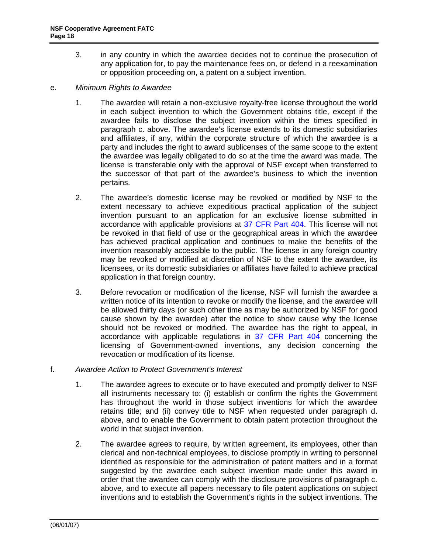- <span id="page-17-0"></span>3. in any country in which the awardee decides not to continue the prosecution of any application for, to pay the maintenance fees on, or defend in a reexamination or opposition proceeding on, a patent on a subject invention.
- e. *Minimum Rights to Awardee* 
	- 1. The awardee will retain a non-exclusive royalty-free license throughout the world in each subject invention to which the Government obtains title, except if the awardee fails to disclose the subject invention within the times specified in paragraph c. above. The awardee's license extends to its domestic subsidiaries and affiliates, if any, within the corporate structure of which the awardee is a party and includes the right to award sublicenses of the same scope to the extent the awardee was legally obligated to do so at the time the award was made. The license is transferable only with the approval of NSF except when transferred to the successor of that part of the awardee's business to which the invention pertains.
	- 2. The awardee's domestic license may be revoked or modified by NSF to the extent necessary to achieve expeditious practical application of the subject invention pursuant to an application for an exclusive license submitted in accordance with applicable provisions at [37 CFR Part 404.](http://www.access.gpo.gov/nara/cfr/waisidx_06/37cfr404_06.html) This license will not be revoked in that field of use or the geographical areas in which the awardee has achieved practical application and continues to make the benefits of the invention reasonably accessible to the public. The license in any foreign country may be revoked or modified at discretion of NSF to the extent the awardee, its licensees, or its domestic subsidiaries or affiliates have failed to achieve practical application in that foreign country.
	- 3. Before revocation or modification of the license, NSF will furnish the awardee a written notice of its intention to revoke or modify the license, and the awardee will be allowed thirty days (or such other time as may be authorized by NSF for good cause shown by the awardee) after the notice to show cause why the license should not be revoked or modified. The awardee has the right to appeal, in accordance with applicable regulations in [37 CFR Part 404](http://www.access.gpo.gov/nara/cfr/waisidx_06/37cfr404_06.html) concerning the licensing of Government-owned inventions, any decision concerning the revocation or modification of its license.

## f. *Awardee Action to Protect Government's Interest*

- 1. The awardee agrees to execute or to have executed and promptly deliver to NSF all instruments necessary to: (i) establish or confirm the rights the Government has throughout the world in those subject inventions for which the awardee retains title; and (ii) convey title to NSF when requested under paragraph d. above, and to enable the Government to obtain patent protection throughout the world in that subject invention.
- 2. The awardee agrees to require, by written agreement, its employees, other than clerical and non-technical employees, to disclose promptly in writing to personnel identified as responsible for the administration of patent matters and in a format suggested by the awardee each subject invention made under this award in order that the awardee can comply with the disclosure provisions of paragraph c. above, and to execute all papers necessary to file patent applications on subject inventions and to establish the Government's rights in the subject inventions. The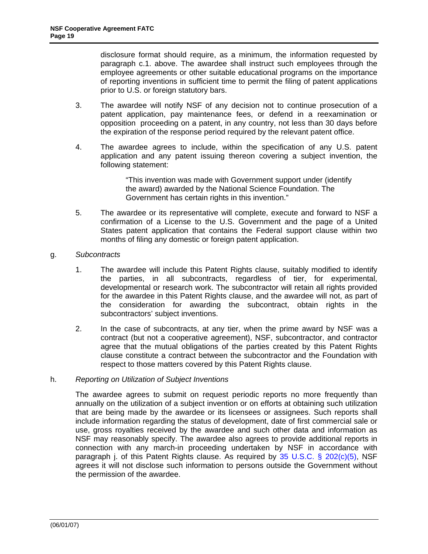<span id="page-18-0"></span>disclosure format should require, as a minimum, the information requested by paragraph c.1. above. The awardee shall instruct such employees through the employee agreements or other suitable educational programs on the importance of reporting inventions in sufficient time to permit the filing of patent applications prior to U.S. or foreign statutory bars.

- 3. The awardee will notify NSF of any decision not to continue prosecution of a patent application, pay maintenance fees, or defend in a reexamination or opposition proceeding on a patent, in any country, not less than 30 days before the expiration of the response period required by the relevant patent office.
- 4. The awardee agrees to include, within the specification of any U.S. patent application and any patent issuing thereon covering a subject invention, the following statement:

"This invention was made with Government support under (identify the award) awarded by the National Science Foundation. The Government has certain rights in this invention."

 months of filing any domestic or foreign patent application. g. *Subcontracts*  5. The awardee or its representative will complete, execute and forward to NSF a confirmation of a License to the U.S. Government and the page of a United States patent application that contains the Federal support clause within two

- 1. The awardee will include this Patent Rights clause, suitably modified to identify the parties, in all subcontracts, regardless of tier, for experimental, developmental or research work. The subcontractor will retain all rights provided for the awardee in this Patent Rights clause, and the awardee will not, as part of the consideration for awarding the subcontract, obtain rights in the subcontractors' subject inventions.
- 2. In the case of subcontracts, at any tier, when the prime award by NSF was a contract (but not a cooperative agreement), NSF, subcontractor, and contractor agree that the mutual obligations of the parties created by this Patent Rights clause constitute a contract between the subcontractor and the Foundation with respect to those matters covered by this Patent Rights clause.

### h. *Reporting on Utilization of Subject Inventions*

The awardee agrees to submit on request periodic reports no more frequently than annually on the utilization of a subject invention or on efforts at obtaining such utilization that are being made by the awardee or its licensees or assignees. Such reports shall include information regarding the status of development, date of first commercial sale or use, gross royalties received by the awardee and such other data and information as NSF may reasonably specify. The awardee also agrees to provide additional reports in connection with any march-in proceeding undertaken by NSF in accordance with paragraph j. of this Patent Rights clause. As required by  $35 \cup S.C.$  §  $202(c)(5)$ , NSF agrees it will not disclose such information to persons outside the Government without the permission of the awardee.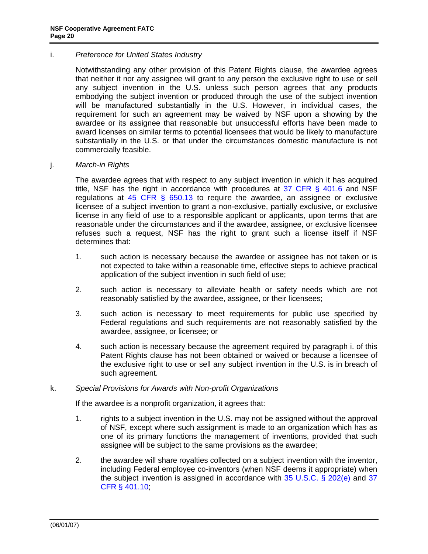### <span id="page-19-0"></span>i. *Preference for United States Industry*

Notwithstanding any other provision of this Patent Rights clause, the awardee agrees that neither it nor any assignee will grant to any person the exclusive right to use or sell any subject invention in the U.S. unless such person agrees that any products embodying the subject invention or produced through the use of the subject invention will be manufactured substantially in the U.S. However, in individual cases, the requirement for such an agreement may be waived by NSF upon a showing by the awardee or its assignee that reasonable but unsuccessful efforts have been made to award licenses on similar terms to potential licensees that would be likely to manufacture substantially in the U.S. or that under the circumstances domestic manufacture is not commercially feasible.

#### j. *March-in Rights*

The awardee agrees that with respect to any subject invention in which it has acquired title, NSF has the right in accordance with procedures at  $37$  CFR  $\S$  401.6 and NSF regulations at 45 CFR  $\S$  650.13 to require the awardee, an assignee or exclusive licensee of a subject invention to grant a non-exclusive, partially exclusive, or exclusive license in any field of use to a responsible applicant or applicants, upon terms that are reasonable under the circumstances and if the awardee, assignee, or exclusive licensee refuses such a request, NSF has the right to grant such a license itself if NSF determines that:

- 1. such action is necessary because the awardee or assignee has not taken or is not expected to take within a reasonable time, effective steps to achieve practical application of the subject invention in such field of use;
- 2. such action is necessary to alleviate health or safety needs which are not reasonably satisfied by the awardee, assignee, or their licensees;
- 3. such action is necessary to meet requirements for public use specified by Federal regulations and such requirements are not reasonably satisfied by the awardee, assignee, or licensee; or
- 4. such action is necessary because the agreement required by paragraph i. of this Patent Rights clause has not been obtained or waived or because a licensee of the exclusive right to use or sell any subject invention in the U.S. is in breach of such agreement.

## k. *Special Provisions for Awards with Non-profit Organizations*

If the awardee is a nonprofit organization, it agrees that:

- 1. rights to a subject invention in the U.S. may not be assigned without the approval of NSF, except where such assignment is made to an organization which has as one of its primary functions the management of inventions, provided that such assignee will be subject to the same provisions as the awardee;
- 2. the awardee will share royalties collected on a subject invention with the inventor, including Federal employee co-inventors (when NSF deems it appropriate) when the subject invention is assigned in accordance with [35 U.S.C. § 202\(e\)](http://frwebgate.access.gpo.gov/cgi-bin/getdoc.cgi?dbname=browse_usc&docid=Cite:+35USC202) and [37](http://www.access.gpo.gov/nara/cfr/waisidx_06/37cfr401_06.html)  [CFR § 401.10](http://www.access.gpo.gov/nara/cfr/waisidx_06/37cfr401_06.html);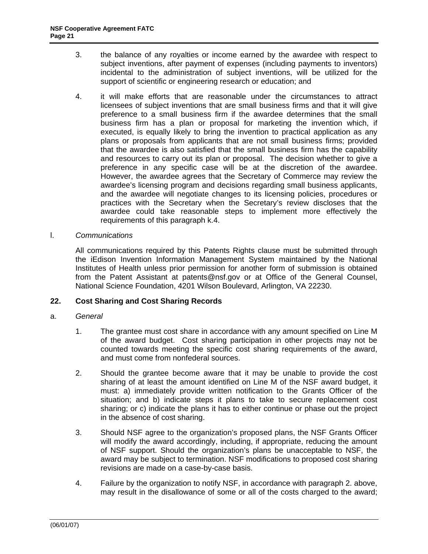- <span id="page-20-0"></span>3. the balance of any royalties or income earned by the awardee with respect to subject inventions, after payment of expenses (including payments to inventors) incidental to the administration of subject inventions, will be utilized for the support of scientific or engineering research or education; and
- 4. it will make efforts that are reasonable under the circumstances to attract licensees of subject inventions that are small business firms and that it will give preference to a small business firm if the awardee determines that the small business firm has a plan or proposal for marketing the invention which, if executed, is equally likely to bring the invention to practical application as any plans or proposals from applicants that are not small business firms; provided that the awardee is also satisfied that the small business firm has the capability and resources to carry out its plan or proposal. The decision whether to give a preference in any specific case will be at the discretion of the awardee. However, the awardee agrees that the Secretary of Commerce may review the awardee's licensing program and decisions regarding small business applicants, and the awardee will negotiate changes to its licensing policies, procedures or practices with the Secretary when the Secretary's review discloses that the awardee could take reasonable steps to implement more effectively the requirements of this paragraph k.4.

#### l. *Communications*

All communications required by this Patents Rights clause must be submitted through the iEdison Invention Information Management System maintained by the National Institutes of Health unless prior permission for another form of submission is obtained from the Patent Assistant at patents@nsf.gov or at Office of the General Counsel, National Science Foundation, 4201 Wilson Boulevard, Arlington, VA 22230.

### **22. Cost Sharing and Cost Sharing Records**

#### a. *General*

- 1. The grantee must cost share in accordance with any amount specified on Line M of the award budget. Cost sharing participation in other projects may not be counted towards meeting the specific cost sharing requirements of the award, and must come from nonfederal sources.
- 2. Should the grantee become aware that it may be unable to provide the cost sharing of at least the amount identified on Line M of the NSF award budget, it must: a) immediately provide written notification to the Grants Officer of the situation; and b) indicate steps it plans to take to secure replacement cost sharing; or c) indicate the plans it has to either continue or phase out the project in the absence of cost sharing.
- 3. Should NSF agree to the organization's proposed plans, the NSF Grants Officer will modify the award accordingly, including, if appropriate, reducing the amount of NSF support. Should the organization's plans be unacceptable to NSF, the award may be subject to termination. NSF modifications to proposed cost sharing revisions are made on a case-by-case basis.
- 4. Failure by the organization to notify NSF, in accordance with paragraph 2. above, may result in the disallowance of some or all of the costs charged to the award;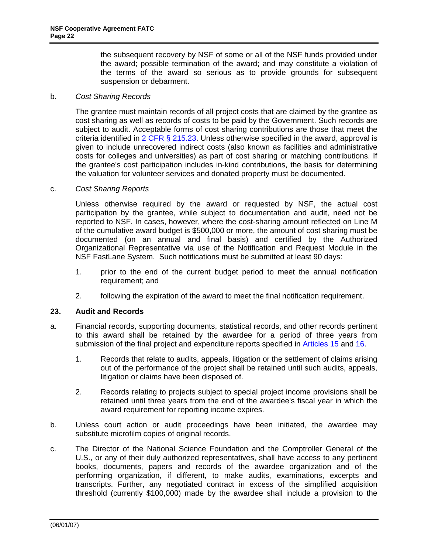the subsequent recovery by NSF of some or all of the NSF funds provided under the award; possible termination of the award; and may constitute a violation of the terms of the award so serious as to provide grounds for subsequent suspension or debarment.

#### <span id="page-21-0"></span>b. *Cost Sharing Records*

The grantee must maintain records of all project costs that are claimed by the grantee as cost sharing as well as records of costs to be paid by the Government. Such records are subject to audit. Acceptable forms of cost sharing contributions are those that meet the criteria identified in  $2$  CFR § 215.23. Unless otherwise specified in the award, approval is given to include unrecovered indirect costs (also known as facilities and administrative costs for colleges and universities) as part of cost sharing or matching contributions. If the grantee's cost participation includes in-kind contributions, the basis for determining the valuation for volunteer services and donated property must be documented.

#### c. *Cost Sharing Reports*

Unless otherwise required by the award or requested by NSF, the actual cost participation by the grantee, while subject to documentation and audit, need not be reported to NSF. In cases, however, where the cost-sharing amount reflected on Line M of the cumulative award budget is \$500,000 or more, the amount of cost sharing must be documented (on an annual and final basis) and certified by the Authorized Organizational Representative via use of the Notification and Request Module in the NSF FastLane System. Such notifications must be submitted at least 90 days:

- 1. prior to the end of the current budget period to meet the annual notification requirement; and
- 2. following the expiration of the award to meet the final notification requirement.

#### **23. Audit and Records**

- a. Financial records, supporting documents, statistical records, and other records pertinent to this award shall be retained by the awardee for a period of three years from submission of the final project and expenditure reports specified in [Articles 15](#page-11-0) and [16](#page-12-0).
	- 1. Records that relate to audits, appeals, litigation or the settlement of claims arising out of the performance of the project shall be retained until such audits, appeals, litigation or claims have been disposed of.
	- 2. Records relating to projects subject to special project income provisions shall be retained until three years from the end of the awardee's fiscal year in which the award requirement for reporting income expires.
- b. Unless court action or audit proceedings have been initiated, the awardee may substitute microfilm copies of original records.
- c. The Director of the National Science Foundation and the Comptroller General of the U.S., or any of their duly authorized representatives, shall have access to any pertinent books, documents, papers and records of the awardee organization and of the performing organization, if different, to make audits, examinations, excerpts and transcripts. Further, any negotiated contract in excess of the simplified acquisition threshold (currently \$100,000) made by the awardee shall include a provision to the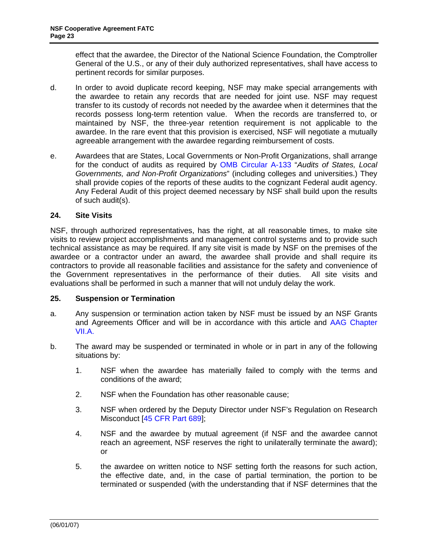<span id="page-22-0"></span>effect that the awardee, the Director of the National Science Foundation, the Comptroller General of the U.S., or any of their duly authorized representatives, shall have access to pertinent records for similar purposes.

- d. In order to avoid duplicate record keeping, NSF may make special arrangements with the awardee to retain any records that are needed for joint use. NSF may request transfer to its custody of records not needed by the awardee when it determines that the records possess long-term retention value. When the records are transferred to, or maintained by NSF, the three-year retention requirement is not applicable to the awardee. In the rare event that this provision is exercised, NSF will negotiate a mutually agreeable arrangement with the awardee regarding reimbursement of costs.
- shall provide copies of the reports of these audits to the cognizant Federal audit agency. e. Awardees that are States, Local Governments or Non-Profit Organizations, shall arrange for the conduct of audits as required by [OMB Circular A-133](http://www.whitehouse.gov/omb/circulars/a133/a133.html) "*Audits of States, Local Governments, and Non-Profit Organizations*" (including colleges and universities.) They Any Federal Audit of this project deemed necessary by NSF shall build upon the results of such audit(s).

## **24. Site Visits**

NSF, through authorized representatives, has the right, at all reasonable times, to make site visits to review project accomplishments and management control systems and to provide such technical assistance as may be required. If any site visit is made by NSF on the premises of the awardee or a contractor under an award, the awardee shall provide and shall require its contractors to provide all reasonable facilities and assistance for the safety and convenience of the Government representatives in the performance of their duties. All site visits and evaluations shall be performed in such a manner that will not unduly delay the work.

#### **25. Suspension or Termination**

- a. Any suspension or termination action taken by NSF must be issued by an NSF Grants and Agreements Officer and will be in accordance with this article and [AAG Chapter](http://www.nsf.gov/pubs/policydocs/papp/aag07140.pdf)  [VII.A.](http://www.nsf.gov/pubs/policydocs/papp/aag07140.pdf)
- b. The award may be suspended or terminated in whole or in part in any of the following situations by:
	- 1. NSF when the awardee has materially failed to comply with the terms and conditions of the award;
	- 2. NSF when the Foundation has other reasonable cause;
	- 3. NSF when ordered by the Deputy Director under NSF's Regulation on Research Misconduct [[45 CFR Part 689](http://www.access.gpo.gov/nara/cfr/waisidx_06/45cfr689_06.html)];
	- 4. NSF and the awardee by mutual agreement (if NSF and the awardee cannot reach an agreement, NSF reserves the right to unilaterally terminate the award); or
	- 5. the awardee on written notice to NSF setting forth the reasons for such action, the effective date, and, in the case of partial termination, the portion to be terminated or suspended (with the understanding that if NSF determines that the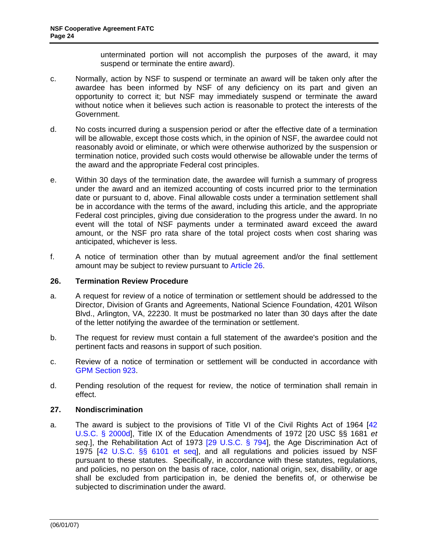unterminated portion will not accomplish the purposes of the award, it may suspend or terminate the entire award).

- <span id="page-23-0"></span>c. Normally, action by NSF to suspend or terminate an award will be taken only after the awardee has been informed by NSF of any deficiency on its part and given an opportunity to correct it; but NSF may immediately suspend or terminate the award without notice when it believes such action is reasonable to protect the interests of the Government.
- d. No costs incurred during a suspension period or after the effective date of a termination will be allowable, except those costs which, in the opinion of NSF, the awardee could not reasonably avoid or eliminate, or which were otherwise authorized by the suspension or termination notice, provided such costs would otherwise be allowable under the terms of the award and the appropriate Federal cost principles.
- e. Within 30 days of the termination date, the awardee will furnish a summary of progress under the award and an itemized accounting of costs incurred prior to the termination date or pursuant to d, above. Final allowable costs under a termination settlement shall be in accordance with the terms of the award, including this article, and the appropriate Federal cost principles, giving due consideration to the progress under the award. In no event will the total of NSF payments under a terminated award exceed the award amount, or the NSF pro rata share of the total project costs when cost sharing was anticipated, whichever is less.
- f. A notice of termination other than by mutual agreement and/or the final settlement amount may be subject to review pursuant to [Article 26.](#page-23-0)

#### **26. Termination Review Procedure**

- a. A request for review of a notice of termination or settlement should be addressed to the Director, Division of Grants and Agreements, National Science Foundation, 4201 Wilson Blvd., Arlington, VA, 22230. It must be postmarked no later than 30 days after the date of the letter notifying the awardee of the termination or settlement.
- b. The request for review must contain a full statement of the awardee's position and the pertinent facts and reasons in support of such position.
- c. Review of a notice of termination or settlement will be conducted in accordance with [GPM Section 923](http://www.nsf.gov/pubs/manuals/gpm05_131/gpm05_131.pdf).
- d. Pending resolution of the request for review, the notice of termination shall remain in effect.

#### **27. Nondiscrimination**

a. The award is subject to the provisions of Title VI of the Civil Rights Act of 1964 [[42](http://frwebgate.access.gpo.gov/cgi-bin/getdoc.cgi?dbname=browse_usc&docid=Cite:+42USC2000d)  [U.S.C. § 2000d](http://frwebgate.access.gpo.gov/cgi-bin/getdoc.cgi?dbname=browse_usc&docid=Cite:+42USC2000d)], Title IX of the Education Amendments of 1972 [20 USC §§ 1681 *et seq*.], the Rehabilitation Act of 1973 [[29 U.S.C. § 794](http://frwebgate.access.gpo.gov/cgi-bin/getdoc.cgi?dbname=browse_usc&docid=Cite:+29USC794)], the Age Discrimination Act of 1975 [[42 U.S.C. §§ 6101 et seq\]](http://www.access.gpo.gov/uscode/title42/chapter76_.html), and all regulations and policies issued by NSF pursuant to these statutes. Specifically, in accordance with these statutes, regulations, and policies, no person on the basis of race, color, national origin, sex, disability, or age shall be excluded from participation in, be denied the benefits of, or otherwise be subjected to discrimination under the award.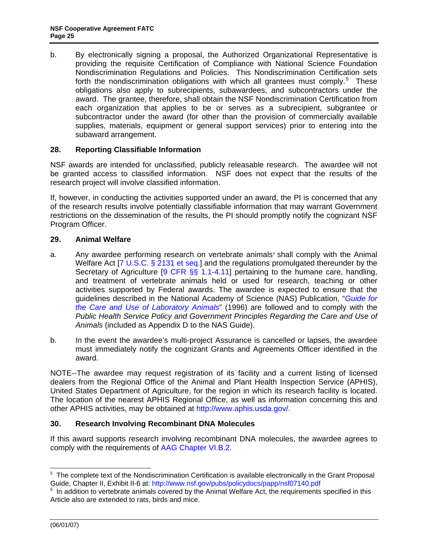<span id="page-24-0"></span>b. By electronically signing a proposal, the Authorized Organizational Representative is providing the requisite Certification of Compliance with National Science Foundation Nondiscrimination Regulations and Policies. This Nondiscrimination Certification sets forth the nondiscrimination obligations with which all grantees must comply.<sup>[5](#page-24-1)</sup> These obligations also apply to subrecipients, subawardees, and subcontractors under the award. The grantee, therefore, shall obtain the NSF Nondiscrimination Certification from each organization that applies to be or serves as a subrecipient, subgrantee or subcontractor under the award (for other than the provision of commercially available supplies, materials, equipment or general support services) prior to entering into the subaward arrangement.

## **28. Reporting Classifiable Information**

NSF awards are intended for unclassified, publicly releasable research. The awardee will not be granted access to classified information. NSF does not expect that the results of the research project will involve classified information.

If, however, in conducting the activities supported under an award, the PI is concerned that any of the research results involve potentially classifiable information that may warrant Government restrictions on the dissemination of the results, the PI should promptly notify the cognizant NSF Program Officer.

#### **29. Animal Welfare**

- Public Health Service Policy and Government Principles Regarding the Care and Use of a. Any awardee performing research on vertebrate animals  $\sinh$  comply with the Animal Welfare Act [\[7 U.S.C. § 2131 et seq](http://www.access.gpo.gov/uscode/title7/chapter54_.html).] and the regulations promulgated thereunder by the Secretary of Agriculture [\[9 CFR §§ 1.1-4.11](http://www.access.gpo.gov/nara/cfr/waisidx_07/9cfrv1_07.html)] pertaining to the humane care, handling, and treatment of vertebrate animals held or used for research, teaching or other activities supported by Federal awards. The awardee is expected to ensure that the guidelines described in the National Academy of Science (NAS) Publication, "*[Guide for](http://www.nap.edu/readingroom/books/labrats/)  [the Care and Use of Laboratory Animals](http://www.nap.edu/readingroom/books/labrats/)*" (1996) are followed and to comply with the *Animals* (included as Appendix D to the NAS Guide).
- b. In the event the awardee's multi-project Assurance is cancelled or lapses, the awardee must immediately notify the cognizant Grants and Agreements Officer identified in the award.

NOTE--The awardee may request registration of its facility and a current listing of licensed dealers from the Regional Office of the Animal and Plant Health Inspection Service (APHIS), United States Department of Agriculture, for the region in which its research facility is located. The location of the nearest APHIS Regional Office, as well as information concerning this and other APHIS activities, may be obtained at<http://www.aphis.usda.gov/>.

#### **30. Research Involving Recombinant DNA Molecules**

If this award supports research involving recombinant DNA molecules, the awardee agrees to comply with the requirements of [AAG Chapter VI.B.2.](http://www.nsf.gov/pubs/policydocs/papp/aag07140.pdf)

-

<span id="page-24-1"></span><sup>&</sup>lt;sup>5</sup> The complete text of the Nondiscrimination Certification is available electronically in the Grant Proposal Guide, Chapter II, Exhibit II-6 at: http://www.nsf.gov/pubs/policydocs/papp/nsf07140.pdf 6

<span id="page-24-2"></span> $6$  In addition to vertebrate animals covered by the Animal Welfare Act, the requirements specified in this Article also are extended to rats, birds and mice.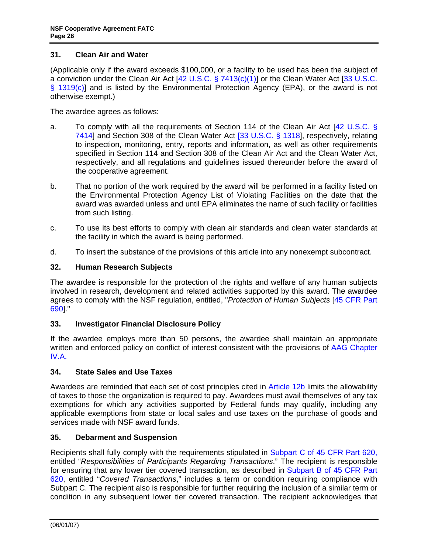## <span id="page-25-0"></span>**31. Clean Air and Water**

(Applicable only if the award exceeds \$100,000, or a facility to be used has been the subject of a conviction under the Clean Air Act [\[42 U.S.C. § 7413\(c\)\(1\)\]](http://frwebgate.access.gpo.gov/cgi-bin/getdoc.cgi?dbname=browse_usc&docid=Cite:+42USC7413) or the Clean Water Act [\[33 U.S.C.](http://frwebgate.access.gpo.gov/cgi-bin/getdoc.cgi?dbname=browse_usc&docid=Cite:+33USC1319)  [§ 1319\(c\)](http://frwebgate.access.gpo.gov/cgi-bin/getdoc.cgi?dbname=browse_usc&docid=Cite:+33USC1319)] and is listed by the Environmental Protection Agency (EPA), or the award is not otherwise exempt.)

The awardee agrees as follows:

- a. To comply with all the requirements of Section 114 of the Clean Air Act [42 [U.S.C. §](http://frwebgate.access.gpo.gov/cgi-bin/getdoc.cgi?dbname=browse_usc&docid=Cite:+42USC7414)  [7414](http://frwebgate.access.gpo.gov/cgi-bin/getdoc.cgi?dbname=browse_usc&docid=Cite:+42USC7414)] and Section 308 of the Clean Water Act [\[33 U.S.C. § 1318](http://frwebgate.access.gpo.gov/cgi-bin/getdoc.cgi?dbname=browse_usc&docid=Cite:+33USC1318)], respectively, relating to inspection, monitoring, entry, reports and information, as well as other requirements specified in Section 114 and Section 308 of the Clean Air Act and the Clean Water Act, respectively, and all regulations and guidelines issued thereunder before the award of the cooperative agreement.
- b. That no portion of the work required by the award will be performed in a facility listed on the Environmental Protection Agency List of Violating Facilities on the date that the award was awarded unless and until EPA eliminates the name of such facility or facilities from such listing.
- c. To use its best efforts to comply with clean air standards and clean water standards at the facility in which the award is being performed.
- d. To insert the substance of the provisions of this article into any nonexempt subcontract.

## **32. Human Research Subjects**

The awardee is responsible for the protection of the rights and welfare of any human subjects involved in research, development and related activities supported by this award. The awardee agrees to comply with the NSF regulation, entitled, "*Protection of Human Subjects* [[45 CFR Part](http://www.access.gpo.gov/nara/cfr/waisidx_06/45cfr690_06.html)  [690](http://www.access.gpo.gov/nara/cfr/waisidx_06/45cfr690_06.html)]."

#### **33. Investigator Financial Disclosure Policy**

If the awardee employs more than 50 persons, the awardee shall maintain an appropriate written and enforced policy on conflict of interest consistent with the provisions of [AAG Chapter](http://www.nsf.gov/pubs/policydocs/papp/aag07140.pdf)  [IV.A.](http://www.nsf.gov/pubs/policydocs/papp/aag07140.pdf)

#### **34. State Sales and Use Taxes**

Awardees are reminded that each set of cost principles cited in [Article 12b](#page-10-0) limits the allowability of taxes to those the organization is required to pay. Awardees must avail themselves of any tax exemptions for which any activities supported by Federal funds may qualify, including any applicable exemptions from state or local sales and use taxes on the purchase of goods and services made with NSF award funds.

## **35. Debarment and Suspension**

Recipients shall fully comply with the requirements stipulated in [Subpart C of 45 CFR Part 620,](http://www.access.gpo.gov/nara/cfr/waisidx_06/45cfr620_06.html) entitled "*Responsibilities of Participants Regarding Transactions*." The recipient is responsible for ensuring that any lower tier covered transaction, as described in [Subpart B of 45 CFR Part](http://www.access.gpo.gov/nara/cfr/waisidx_06/45cfr620_06.html)  [620](http://www.access.gpo.gov/nara/cfr/waisidx_06/45cfr620_06.html), entitled "*Covered Transactions*," includes a term or condition requiring compliance with Subpart C. The recipient also is responsible for further requiring the inclusion of a similar term or condition in any subsequent lower tier covered transaction. The recipient acknowledges that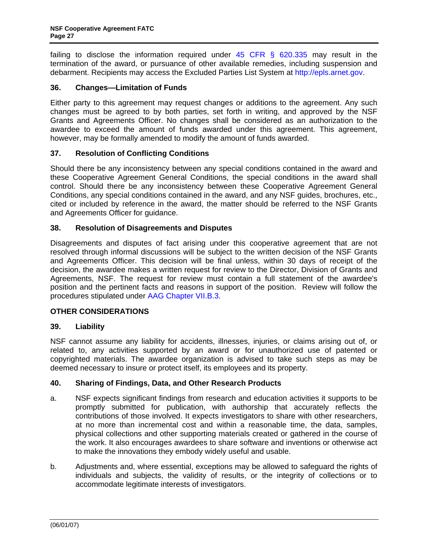<span id="page-26-0"></span>failing to disclose the information required under  $45$  CFR  $\S$  620.335 may result in the termination of the award, or pursuance of other available remedies, including suspension and debarment. Recipients may access the Excluded Parties List System at [http://epls.arnet.gov.](http://epls.arnet.gov/)

## **36. Changes—Limitation of Funds**

Either party to this agreement may request changes or additions to the agreement. Any such changes must be agreed to by both parties, set forth in writing, and approved by the NSF Grants and Agreements Officer. No changes shall be considered as an authorization to the awardee to exceed the amount of funds awarded under this agreement. This agreement, however, may be formally amended to modify the amount of funds awarded.

## **37. Resolution of Conflicting Conditions**

Should there be any inconsistency between any special conditions contained in the award and these Cooperative Agreement General Conditions, the special conditions in the award shall control. Should there be any inconsistency between these Cooperative Agreement General Conditions, any special conditions contained in the award, and any NSF guides, brochures, etc., cited or included by reference in the award, the matter should be referred to the NSF Grants and Agreements Officer for guidance.

## **38. Resolution of Disagreements and Disputes**

Disagreements and disputes of fact arising under this cooperative agreement that are not resolved through informal discussions will be subject to the written decision of the NSF Grants and Agreements Officer. This decision will be final unless, within 30 days of receipt of the decision, the awardee makes a written request for review to the Director, Division of Grants and Agreements, NSF. The request for review must contain a full statement of the awardee's position and the pertinent facts and reasons in support of the position. Review will follow the procedures stipulated under [AAG Chapter VII.B.3.](http://www.nsf.gov/pubs/policydocs/papp/aag07140.pdf)

## **OTHER CONSIDERATIONS**

#### **39. Liability**

NSF cannot assume any liability for accidents, illnesses, injuries, or claims arising out of, or related to, any activities supported by an award or for unauthorized use of patented or copyrighted materials. The awardee organization is advised to take such steps as may be deemed necessary to insure or protect itself, its employees and its property.

#### **40. Sharing of Findings, Data, and Other Research Products**

- a. NSF expects significant findings from research and education activities it supports to be promptly submitted for publication, with authorship that accurately reflects the contributions of those involved. It expects investigators to share with other researchers, at no more than incremental cost and within a reasonable time, the data, samples, physical collections and other supporting materials created or gathered in the course of the work. It also encourages awardees to share software and inventions or otherwise act to make the innovations they embody widely useful and usable.
- b. Adjustments and, where essential, exceptions may be allowed to safeguard the rights of individuals and subjects, the validity of results, or the integrity of collections or to accommodate legitimate interests of investigators.